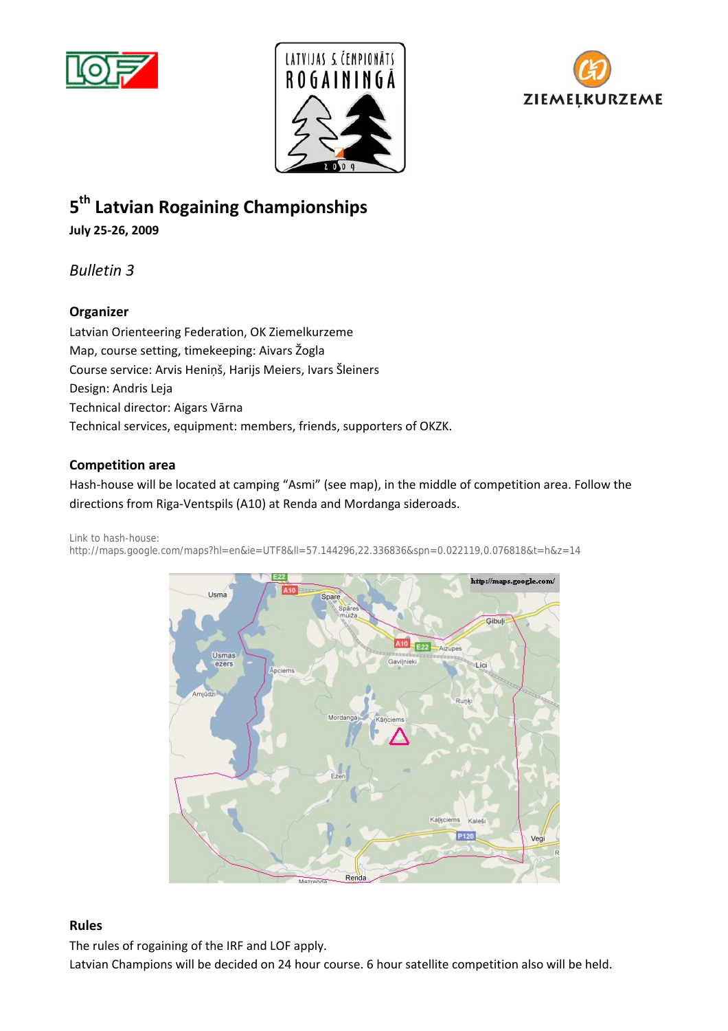





# **5th Latvian Rogaining Championships**

**July 25-26, 2009**

*Bulletin 3*

# **Organizer**

Latvian Orienteering Federation, OK Ziemelkurzeme Map, course setting, timekeeping: Aivars Žogla Course service: Arvis Heniņš, Harijs Meiers, Ivars Šleiners Design: Andris Leja Technical director: Aigars Vārna Technical services, equipment: members, friends, supporters of OKZK.

# **Competition area**

Hash-house will be located at camping "Asmi" (see map), in the middle of competition area. Follow the directions from Riga-Ventspils (A10) at Renda and Mordanga sideroads.

Link to hash-house:

http://maps.google.com/maps?hl=en&ie=UTF8&ll=57.144296,22.336836&spn=0.022119,0.076818&t=h&z=14



## **Rules**

The rules of rogaining of the IRF and LOF apply.

Latvian Champions will be decided on 24 hour course. 6 hour satellite competition also will be held.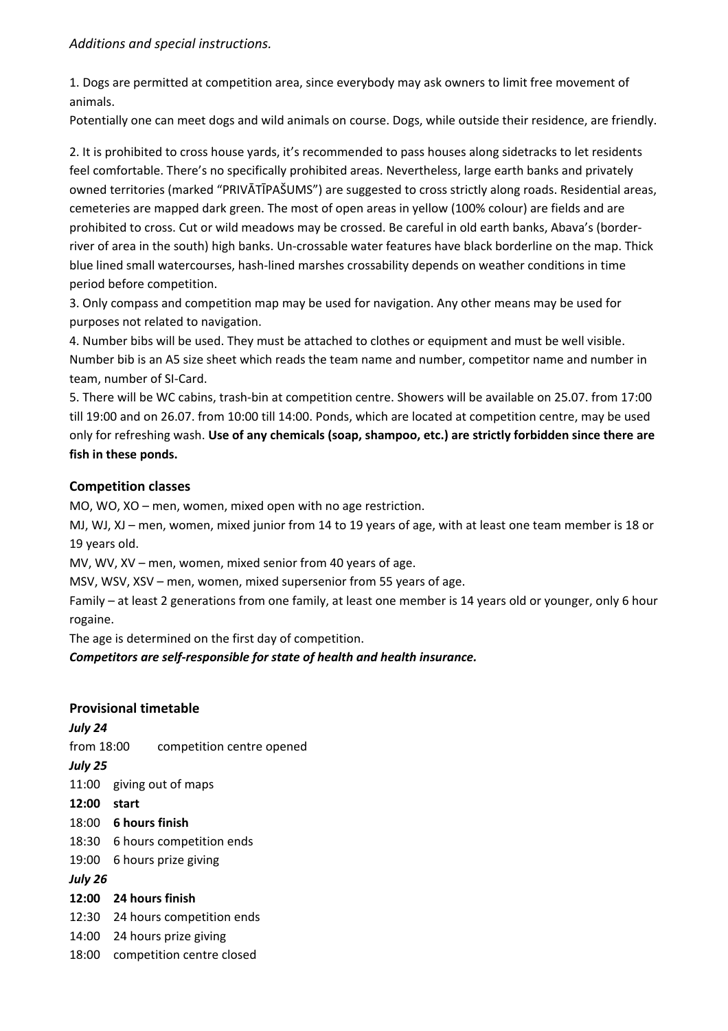1. Dogs are permitted at competition area, since everybody may ask owners to limit free movement of animals.

Potentially one can meet dogs and wild animals on course. Dogs, while outside their residence, are friendly.

2. It is prohibited to cross house yards, it's recommended to pass houses along sidetracks to let residents feel comfortable. There's no specifically prohibited areas. Nevertheless, large earth banks and privately owned territories (marked "PRIVĀTĪPAŠUMS") are suggested to cross strictly along roads. Residential areas, cemeteries are mapped dark green. The most of open areas in yellow (100% colour) are fields and are prohibited to cross. Cut or wild meadows may be crossed. Be careful in old earth banks, Abava's (borderriver of area in the south) high banks. Un-crossable water features have black borderline on the map. Thick blue lined small watercourses, hash-lined marshes crossability depends on weather conditions in time period before competition.

3. Only compass and competition map may be used for navigation. Any other means may be used for purposes not related to navigation.

4. Number bibs will be used. They must be attached to clothes or equipment and must be well visible. Number bib is an A5 size sheet which reads the team name and number, competitor name and number in team, number of SI-Card.

5. There will be WC cabins, trash-bin at competition centre. Showers will be available on 25.07. from 17:00 till 19:00 and on 26.07. from 10:00 till 14:00. Ponds, which are located at competition centre, may be used only for refreshing wash. **Use of any chemicals (soap, shampoo, etc.) are strictly forbidden since there are fish in these ponds.**

# **Competition classes**

MO, WO, XO – men, women, mixed open with no age restriction.

MJ, WJ, XJ – men, women, mixed junior from 14 to 19 years of age, with at least one team member is 18 or 19 years old.

MV, WV, XV – men, women, mixed senior from 40 years of age.

MSV, WSV, XSV – men, women, mixed supersenior from 55 years of age.

Family – at least 2 generations from one family, at least one member is 14 years old or younger, only 6 hour rogaine.

The age is determined on the first day of competition.

*Competitors are self-responsible for state of health and health insurance.*

## **Provisional timetable**

*July 24* 

from 18:00 competition centre opened

*July 25* 

11:00 giving out of maps

- **12:00 start**
- 18:00 **6 hours finish**
- 18:30 6 hours competition ends

19:00 6 hours prize giving

*July 26* 

- **12:00 24 hours finish**
- 12:30 24 hours competition ends
- 14:00 24 hours prize giving
- 18:00 competition centre closed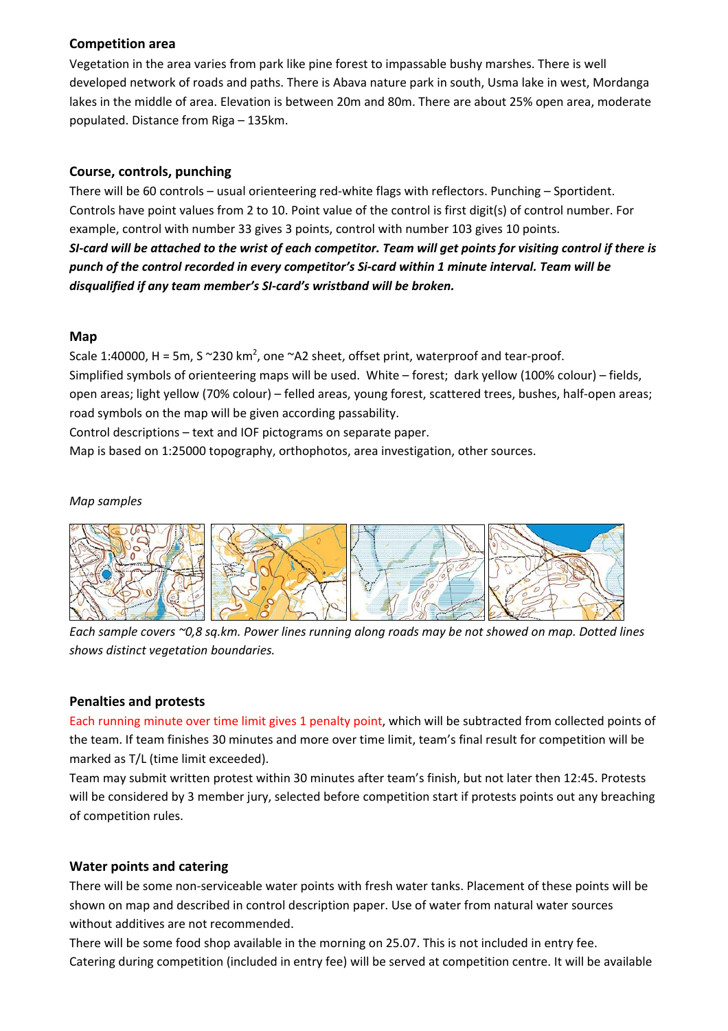## **Competition area**

Vegetation in the area varies from park like pine forest to impassable bushy marshes. There is well developed network of roads and paths. There is Abava nature park in south, Usma lake in west, Mordanga lakes in the middle of area. Elevation is between 20m and 80m. There are about 25% open area, moderate populated. Distance from Riga – 135km.

## **Course, controls, punching**

There will be 60 controls – usual orienteering red-white flags with reflectors. Punching – Sportident. Controls have point values from 2 to 10. Point value of the control is first digit(s) of control number. For example, control with number 33 gives 3 points, control with number 103 gives 10 points. *SI-card will be attached to the wrist of each competitor. Team will get points for visiting control if there is punch of the control recorded in every competitor's Si-card within 1 minute interval. Team will be disqualified if any team member's SI-card's wristband will be broken.* 

#### **Map**

Scale 1:40000, H = 5m, S  $\sim$ 230 km<sup>2</sup>, one  $\sim$ A2 sheet, offset print, waterproof and tear-proof. Simplified symbols of orienteering maps will be used. White – forest; dark yellow (100% colour) – fields, open areas; light yellow (70% colour) – felled areas, young forest, scattered trees, bushes, half-open areas; road symbols on the map will be given according passability.

Control descriptions – text and IOF pictograms on separate paper.

Map is based on 1:25000 topography, orthophotos, area investigation, other sources.

#### *Map samples*



*Each sample covers ~0,8 sq.km. Power lines running along roads may be not showed on map. Dotted lines shows distinct vegetation boundaries.* 

## **Penalties and protests**

Each running minute over time limit gives 1 penalty point, which will be subtracted from collected points of the team. If team finishes 30 minutes and more over time limit, team's final result for competition will be marked as T/L (time limit exceeded).

Team may submit written protest within 30 minutes after team's finish, but not later then 12:45. Protests will be considered by 3 member jury, selected before competition start if protests points out any breaching of competition rules.

## **Water points and catering**

There will be some non-serviceable water points with fresh water tanks. Placement of these points will be shown on map and described in control description paper. Use of water from natural water sources without additives are not recommended.

There will be some food shop available in the morning on 25.07. This is not included in entry fee. Catering during competition (included in entry fee) will be served at competition centre. It will be available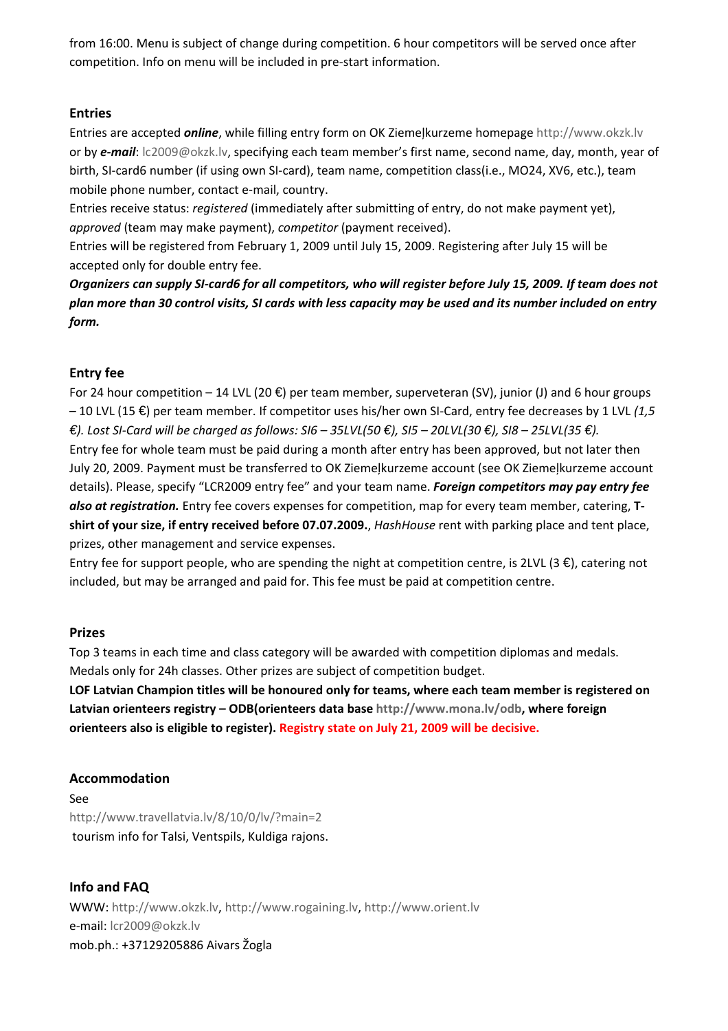from 16:00. Menu is subject of change during competition. 6 hour competitors will be served once after competition. Info on menu will be included in pre-start information.

## **Entries**

Entries are accepted *online*, while filling entry form on OK Ziemeļkurzeme homepage http://www.okzk.lv or by *e-mail*: lc2009@okzk.lv, specifying each team member's first name, second name, day, month, year of birth, SI-card6 number (if using own SI-card), team name, competition class(i.e., MO24, XV6, etc.), team mobile phone number, contact e-mail, country.

Entries receive status: *registered* (immediately after submitting of entry, do not make payment yet), *approved* (team may make payment), *competitor* (payment received).

Entries will be registered from February 1, 2009 until July 15, 2009. Registering after July 15 will be accepted only for double entry fee.

*Organizers can supply SI-card6 for all competitors, who will register before July 15, 2009. If team does not plan more than 30 control visits, SI cards with less capacity may be used and its number included on entry form.* 

# **Entry fee**

For 24 hour competition – 14 LVL (20  $\bigoplus$  per team member, superveteran (SV), junior (J) and 6 hour groups – 10 LVL (15 €) per team member. If competitor uses his/her own SI-Card, entry fee decreases by 1 LVL *(1,5 €). Lost SI-Card will be charged as follows: SI6 – 35LVL(50 €), SI5 – 20LVL(30 €), SI8 – 25LVL(35 €).* Entry fee for whole team must be paid during a month after entry has been approved, but not later then July 20, 2009. Payment must be transferred to OK Ziemeļkurzeme account (see OK Ziemeļkurzeme account details). Please, specify "LCR2009 entry fee" and your team name. *Foreign competitors may pay entry fee also at registration.* Entry fee covers expenses for competition, map for every team member, catering, **Tshirt of your size, if entry received before 07.07.2009.**, *HashHouse* rent with parking place and tent place, prizes, other management and service expenses.

Entry fee for support people, who are spending the night at competition centre, is 2LVL (3  $\in$ ), catering not included, but may be arranged and paid for. This fee must be paid at competition centre.

# **Prizes**

Top 3 teams in each time and class category will be awarded with competition diplomas and medals. Medals only for 24h classes. Other prizes are subject of competition budget.

**LOF Latvian Champion titles will be honoured only for teams, where each team member is registered on Latvian orienteers registry – ODB(orienteers data base http://www.mona.lv/odb, where foreign orienteers also is eligible to register). Registry state on July 21, 2009 will be decisive.**

# **Accommodation**

See http://www.travellatvia.lv/8/10/0/lv/?main=2 tourism info for Talsi, Ventspils, Kuldiga rajons.

**Info and FAQ**  WWW: http://www.okzk.lv, http://www.rogaining.lv, http://www.orient.lv e-mail: lcr2009@okzk.lv mob.ph.: +37129205886 Aivars Žogla